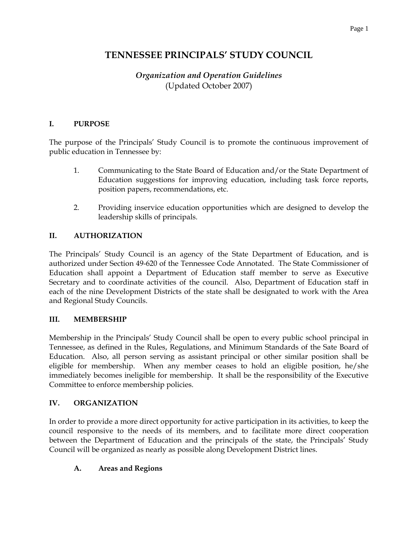# **TENNESSEE PRINCIPALS' STUDY COUNCIL**

# *Organization and Operation Guidelines* (Updated October 2007)

### **I. PURPOSE**

The purpose of the Principals' Study Council is to promote the continuous improvement of public education in Tennessee by:

- 1. Communicating to the State Board of Education and/or the State Department of Education suggestions for improving education, including task force reports, position papers, recommendations, etc.
- 2. Providing inservice education opportunities which are designed to develop the leadership skills of principals.

#### **II. AUTHORIZATION**

The Principals' Study Council is an agency of the State Department of Education, and is authorized under Section 49-620 of the Tennessee Code Annotated. The State Commissioner of Education shall appoint a Department of Education staff member to serve as Executive Secretary and to coordinate activities of the council. Also, Department of Education staff in each of the nine Development Districts of the state shall be designated to work with the Area and Regional Study Councils.

#### **III. MEMBERSHIP**

Membership in the Principals' Study Council shall be open to every public school principal in Tennessee, as defined in the Rules, Regulations, and Minimum Standards of the Sate Board of Education. Also, all person serving as assistant principal or other similar position shall be eligible for membership. When any member ceases to hold an eligible position, he/she immediately becomes ineligible for membership. It shall be the responsibility of the Executive Committee to enforce membership policies.

#### **IV. ORGANIZATION**

In order to provide a more direct opportunity for active participation in its activities, to keep the council responsive to the needs of its members, and to facilitate more direct cooperation between the Department of Education and the principals of the state, the Principals' Study Council will be organized as nearly as possible along Development District lines.

### **A. Areas and Regions**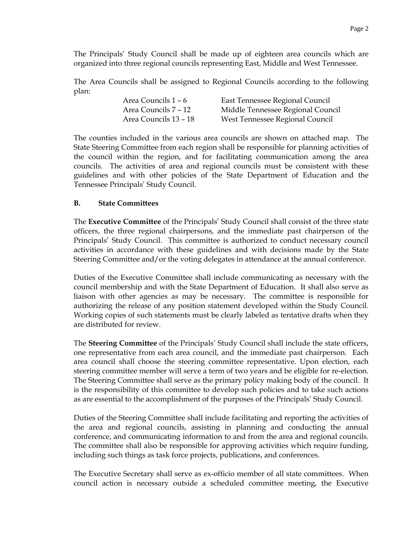The Principals' Study Council shall be made up of eighteen area councils which are organized into three regional councils representing East, Middle and West Tennessee.

The Area Councils shall be assigned to Regional Councils according to the following plan:

| Area Councils 1 – 6   | East Tennessee Regional Council   |
|-----------------------|-----------------------------------|
| Area Councils 7 – 12  | Middle Tennessee Regional Council |
| Area Councils 13 – 18 | West Tennessee Regional Council   |

The counties included in the various area councils are shown on attached map. The State Steering Committee from each region shall be responsible for planning activities of the council within the region, and for facilitating communication among the area councils. The activities of area and regional councils must be consistent with these guidelines and with other policies of the State Department of Education and the Tennessee Principals' Study Council.

#### **B. State Committees**

The **Executive Committee** of the Principals' Study Council shall consist of the three state officers, the three regional chairpersons, and the immediate past chairperson of the Principals' Study Council. This committee is authorized to conduct necessary council activities in accordance with these guidelines and with decisions made by the State Steering Committee and/or the voting delegates in attendance at the annual conference.

Duties of the Executive Committee shall include communicating as necessary with the council membership and with the State Department of Education. It shall also serve as liaison with other agencies as may be necessary. The committee is responsible for authorizing the release of any position statement developed within the Study Council. Working copies of such statements must be clearly labeled as tentative drafts when they are distributed for review.

The **Steering Committee** of the Principals' Study Council shall include the state officers, one representative from each area council, and the immediate past chairperson. Each area council shall choose the steering committee representative. Upon election, each steering committee member will serve a term of two years and be eligible for re-election. The Steering Committee shall serve as the primary policy making body of the council. It is the responsibility of this committee to develop such policies and to take such actions as are essential to the accomplishment of the purposes of the Principals' Study Council.

Duties of the Steering Committee shall include facilitating and reporting the activities of the area and regional councils, assisting in planning and conducting the annual conference, and communicating information to and from the area and regional councils. The committee shall also be responsible for approving activities which require funding, including such things as task force projects, publications, and conferences.

The Executive Secretary shall serve as ex-officio member of all state committees. When council action is necessary outside a scheduled committee meeting, the Executive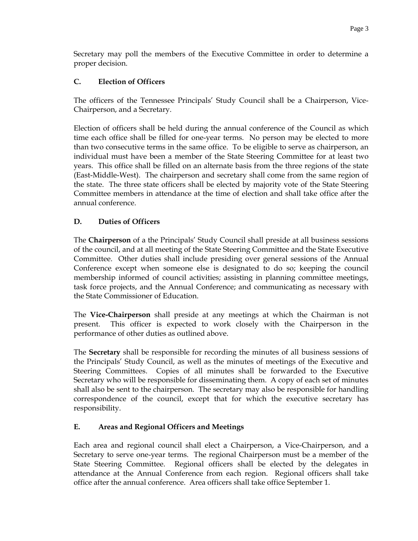Secretary may poll the members of the Executive Committee in order to determine a proper decision.

### **C. Election of Officers**

The officers of the Tennessee Principals' Study Council shall be a Chairperson, Vice-Chairperson, and a Secretary.

Election of officers shall be held during the annual conference of the Council as which time each office shall be filled for one-year terms. No person may be elected to more than two consecutive terms in the same office. To be eligible to serve as chairperson, an individual must have been a member of the State Steering Committee for at least two years. This office shall be filled on an alternate basis from the three regions of the state (East-Middle-West). The chairperson and secretary shall come from the same region of the state. The three state officers shall be elected by majority vote of the State Steering Committee members in attendance at the time of election and shall take office after the annual conference.

## **D. Duties of Officers**

The **Chairperson** of a the Principals' Study Council shall preside at all business sessions of the council, and at all meeting of the State Steering Committee and the State Executive Committee. Other duties shall include presiding over general sessions of the Annual Conference except when someone else is designated to do so; keeping the council membership informed of council activities; assisting in planning committee meetings, task force projects, and the Annual Conference; and communicating as necessary with the State Commissioner of Education.

The **Vice-Chairperson** shall preside at any meetings at which the Chairman is not present. This officer is expected to work closely with the Chairperson in the performance of other duties as outlined above.

The **Secretary** shall be responsible for recording the minutes of all business sessions of the Principals' Study Council, as well as the minutes of meetings of the Executive and Steering Committees. Copies of all minutes shall be forwarded to the Executive Secretary who will be responsible for disseminating them. A copy of each set of minutes shall also be sent to the chairperson. The secretary may also be responsible for handling correspondence of the council, except that for which the executive secretary has responsibility.

### **E. Areas and Regional Officers and Meetings**

Each area and regional council shall elect a Chairperson, a Vice-Chairperson, and a Secretary to serve one-year terms. The regional Chairperson must be a member of the State Steering Committee. Regional officers shall be elected by the delegates in attendance at the Annual Conference from each region. Regional officers shall take office after the annual conference. Area officers shall take office September 1.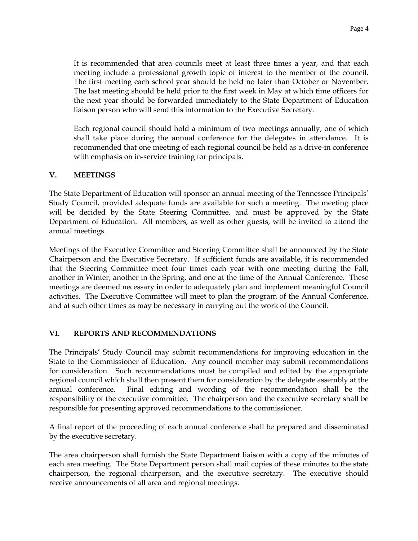It is recommended that area councils meet at least three times a year, and that each meeting include a professional growth topic of interest to the member of the council. The first meeting each school year should be held no later than October or November. The last meeting should be held prior to the first week in May at which time officers for the next year should be forwarded immediately to the State Department of Education liaison person who will send this information to the Executive Secretary.

Each regional council should hold a minimum of two meetings annually, one of which shall take place during the annual conference for the delegates in attendance. It is recommended that one meeting of each regional council be held as a drive-in conference with emphasis on in-service training for principals.

### **V. MEETINGS**

The State Department of Education will sponsor an annual meeting of the Tennessee Principals' Study Council, provided adequate funds are available for such a meeting. The meeting place will be decided by the State Steering Committee, and must be approved by the State Department of Education. All members, as well as other guests, will be invited to attend the annual meetings.

Meetings of the Executive Committee and Steering Committee shall be announced by the State Chairperson and the Executive Secretary. If sufficient funds are available, it is recommended that the Steering Committee meet four times each year with one meeting during the Fall, another in Winter, another in the Spring, and one at the time of the Annual Conference. These meetings are deemed necessary in order to adequately plan and implement meaningful Council activities. The Executive Committee will meet to plan the program of the Annual Conference, and at such other times as may be necessary in carrying out the work of the Council.

### **VI. REPORTS AND RECOMMENDATIONS**

The Principals' Study Council may submit recommendations for improving education in the State to the Commissioner of Education. Any council member may submit recommendations for consideration. Such recommendations must be compiled and edited by the appropriate regional council which shall then present them for consideration by the delegate assembly at the annual conference. Final editing and wording of the recommendation shall be the responsibility of the executive committee. The chairperson and the executive secretary shall be responsible for presenting approved recommendations to the commissioner.

A final report of the proceeding of each annual conference shall be prepared and disseminated by the executive secretary.

The area chairperson shall furnish the State Department liaison with a copy of the minutes of each area meeting. The State Department person shall mail copies of these minutes to the state chairperson, the regional chairperson, and the executive secretary. The executive should receive announcements of all area and regional meetings.